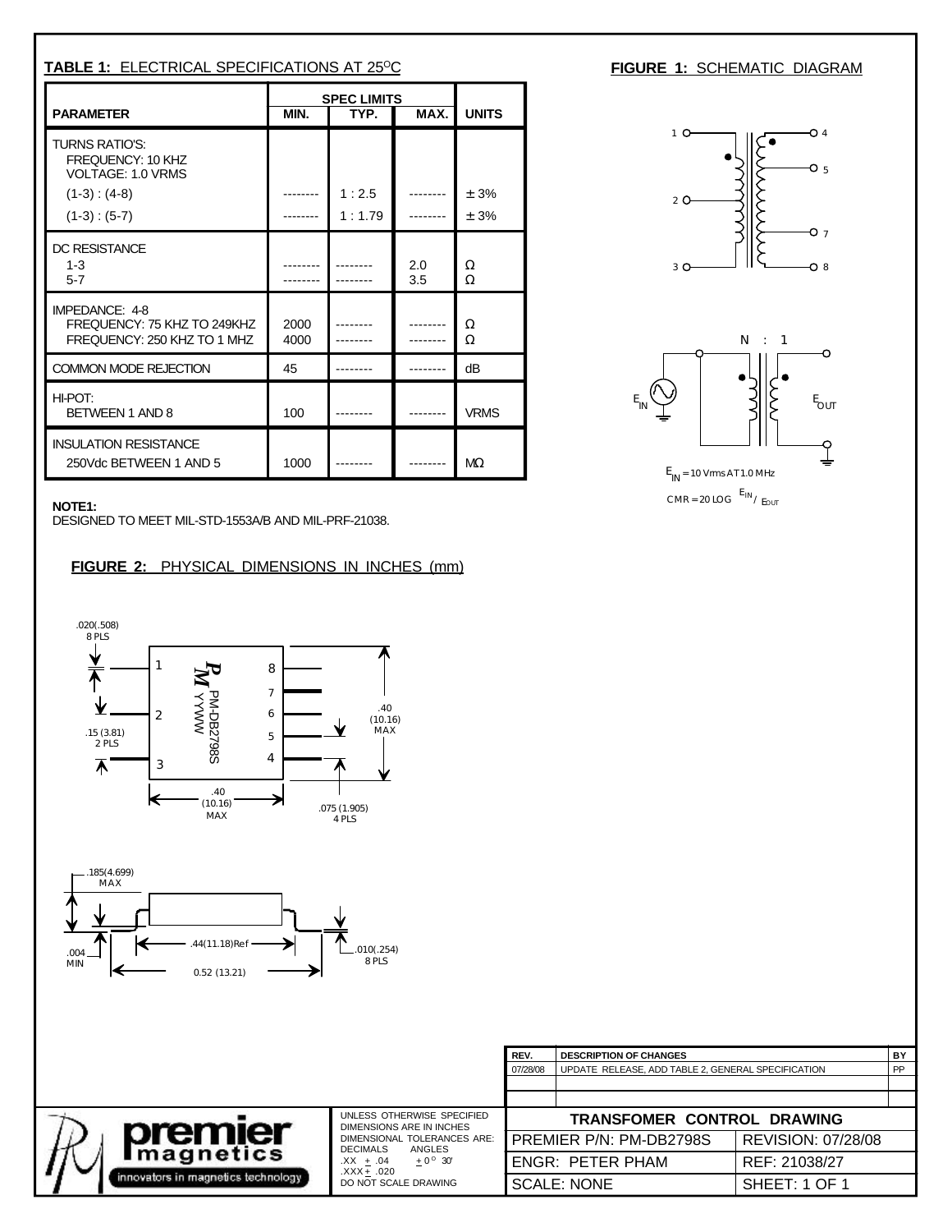| <b>TABLE 1: ELECTRICAL SPECIFICATIONS AT 25°C</b>                            |                                            |                 |            |              |  |
|------------------------------------------------------------------------------|--------------------------------------------|-----------------|------------|--------------|--|
| <b>PARAMETER</b>                                                             | <b>SPEC LIMITS</b><br>MIN.<br>MAX.<br>TYP. |                 |            | <b>UNITS</b> |  |
| TURNS RATIO'S:<br>FREQUENCY: 10 KHZ<br><b>VOLTAGE: 1.0 VRMS</b>              |                                            |                 |            |              |  |
| $(1-3) : (4-8)$<br>$(1-3):(5-7)$                                             |                                            | 1:2.5<br>1:1.79 |            | ± 3%<br>± 3% |  |
| DC RESISTANCE<br>$1 - 3$<br>$5 - 7$                                          |                                            |                 | 2.0<br>3.5 | Ω<br>Ω       |  |
| IMPEDANCE: 4-8<br>FREQUENCY: 75 KHZ TO 249KHZ<br>FREQUENCY: 250 KHZ TO 1 MHZ | 2000<br>4000                               |                 |            | Ω<br>Ω       |  |
| COMMON MODE REJECTION                                                        | 45                                         |                 |            | dB           |  |
| HI-POT:<br>BETWEEN 1 AND 8                                                   | 100                                        |                 |            | <b>VRMS</b>  |  |
| <b>INSULATION RESISTANCE</b><br>250Vdc BETWEEN 1 AND 5                       | 1000                                       |                 |            | $M\Omega$    |  |

**FIGURE 1: SCHEMATIC DIAGRAM** 



CMR = 20 LOG  $E_{IN}$ / Eout

**NOTE1:**

DESIGNED TO MEET MIL-STD-1553A/B AND MIL-PRF-21038.

## **FIGURE 2:** PHYSICAL DIMENSIONS IN INCHES (mm)





|                                                                    |                                                                                                                                                                                                   | REV.                              | <b>DESCRIPTION OF CHANGES</b>                      |                           | BY |
|--------------------------------------------------------------------|---------------------------------------------------------------------------------------------------------------------------------------------------------------------------------------------------|-----------------------------------|----------------------------------------------------|---------------------------|----|
|                                                                    |                                                                                                                                                                                                   | 07/28/08                          | UPDATE RELEASE, ADD TABLE 2, GENERAL SPECIFICATION |                           | PP |
|                                                                    |                                                                                                                                                                                                   |                                   |                                                    |                           |    |
|                                                                    |                                                                                                                                                                                                   |                                   |                                                    |                           |    |
| premier<br><b>Imagnetics</b><br>innovators in magnetics technology | UNLESS OTHERWISE SPECIFIED<br>DIMENSIONS ARE IN INCHES<br>DIMENSIONAL TOLERANCES ARE:<br><b>DECIMALS</b><br>ANGLES<br>$\pm$ 0 <sup>o</sup> 30'<br>.XX ± .04<br>.XXX+ .020<br>DO NOT SCALE DRAWING | <b>TRANSFOMER CONTROL DRAWING</b> |                                                    |                           |    |
|                                                                    |                                                                                                                                                                                                   |                                   | PREMIER P/N: PM-DB2798S                            | <b>REVISION: 07/28/08</b> |    |
|                                                                    |                                                                                                                                                                                                   | <b>ENGR: PETER PHAM</b>           |                                                    | REF: 21038/27             |    |
|                                                                    |                                                                                                                                                                                                   |                                   | <b>SCALE: NONE</b>                                 | SHEET: 1 OF 1             |    |